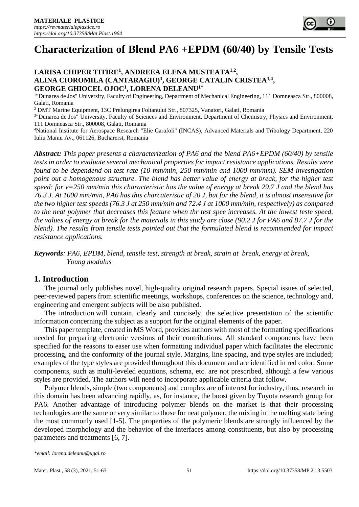# **Characterization of Blend PA6 +EPDM (60/40) by Tensile Tests**

## **LARISA CHIPER TITIRE<sup>1</sup> , ANDREEA ELENA MUSTEATA1,2 , ALINA CIOROMILA (CANTARAGIU)<sup>3</sup> , GEORGE CATALIN CRISTEA1,4 , GEORGE GHIOCEL OJOC<sup>1</sup> , LORENA DELEANU1\***

1 "Dunarea de Jos" University, Faculty of Engineering, Department of Mechanical Engineering, 111 Domneasca Str., 800008, Galati, Romania

<sup>2</sup> DMT Marine Equipment, 13C Prelungirea Foltanului Str., 807325, Vanatori, Galati, Romania

<sup>3</sup>"Dunarea de Jos" University, Faculty of Sciences and Environment, Department of Chemistry, Physics and Environment, 111 Domneasca Str., 800008, Galati, Romania

<sup>4</sup>National Institute for Aerospace Research "Elie Carafoli" (INCAS), Advanced Materials and Tribology Department, 220 Iuliu Maniu Av., 061126, Bucharerst, Romania

*Abstract: This paper presents a characterization of PA6 and the blend PA6+EPDM (60/40) by tensile tests in order to evaluate several mechanical properties for impact resistance applications. Results were found to be dependend on test rate (10 mm/min, 250 mm/min and 1000 mm/mm). SEM investigation point out a homogenous structure. The blend has better value of energy at break, for the higher test speed: for v=250 mm/min this characteristic has the value of energy at break 29.7 J and the blend has 76.3 J. At 1000 mm/min, PA6 has this charcateristic of 20 J, but for the blend, it is almost insensitive for the two higher test speeds (76.3 J at 250 mm/min and 72.4 J at 1000 mm/min, respectively) as compared to the neat polymer that decreases this feature when thr test spee increases. At the lowest teste speed, the values of energy at break for the materials in this study are close (90.2 J for PA6 and 87.7 J for the blend). The results from tensile tests pointed out that the formulated blend is recommended for impact resistance applications.*

*Keywords: PA6, EPDM, blend, tensile test, strength at break, strain at break, energy at break, Young modulus* 

## **1. Introduction**

The journal only publishes novel, high-quality original research papers. Special issues of selected, peer-reviewed papers from scientific meetings, workshops, conferences on the science, technology and, engineering and emergent subjects will be also published.

The introduction will contain, clearly and concisely, the selective presentation of the scientific information concerning the subject as a support for the original elements of the paper.

This paper template, created in MS Word, provides authors with most of the formatting specifications needed for preparing electronic versions of their contributions. All standard components have been specified for the reasons to easer use when formatting individual paper which facilitates the electronic processing, and the conformity of the journal style. Margins, line spacing, and type styles are included; examples of the type styles are provided throughout this document and are identified in red color. Some components, such as multi-leveled equations, schema, etc. are not prescribed, although a few various styles are provided. The authors will need to incorporate applicable criteria that follow.

Polymer blends, simple (two components) and complex are of interest for industry, thus, research in this domain has been advancing rapidly, as, for instance, the boost given by Toyota research group for PA6. Another advantage of introducing polymer blends on the market is that their processing technologies are the same or very similar to those for neat polymer, the mixing in the melting state being the most commonly used [1-5]. The properties of the polymeric blends are strongly influenced by the developed morphology and the behavior of the interfaces among constituents, but also by processing parameters and treatments [6, 7].

*<sup>\*</sup>email: lorena.deleanu@ugal.ro*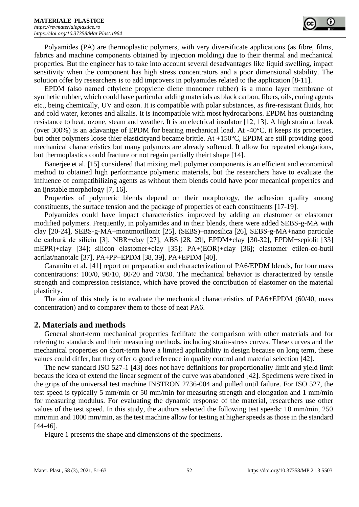Polyamides (PA) are thermoplastic polymers, with very diversificate applications (as fibre, films, fabrics and machine components obtained by injection molding) due to their thermal and mechanical properties. But the engineer has to take into account several desadvantages like liquid swelling, impact sensitivity when the component has high stress concentrators and a poor dimensional stability. The solution offer by researchers is to add improvers in polyamides related to the application [8-11].

EPDM (also named ethylene propylene diene monomer rubber) is a mono layer membrane of synthetic rubber, which could have particular adding materials as black carbon, fibers, oils, curing agents etc., being chemically, UV and ozon. It is compatible with [polar substances,](https://en.wikipedia.org/wiki/Chemical_polarity#Polar_molecules) as fire-resistant fluids, hot and cold water, ketones and alkalis. It is incompatible with most hydrocarbons. EPDM has outstanding resistance to [heat,](https://en.wikipedia.org/wiki/Heat) [ozone,](https://en.wikipedia.org/wiki/Ozone) [steam](https://en.wikipedia.org/wiki/Steam) and [weather.](https://en.wikipedia.org/wiki/Weather) It is an electrical insulator [12, 13]*.* A high strain at break (over 300%) is an adavantge of EPDM for bearing mechanical load. At -40°C, it keeps its properties, but other polymers loose thier elasticityand became brittle. At +150°C, EPDM are still providing good mechanical characteristics but many polymers are already softened. It allow for repeated elongations, but thermoplastics could fracture or not regain partially theirt shape [14].

Banerjee et al. [15] considered that mixing melt polymer components is an efficient and economical method to obtained high performance polymeric materials, but the researchers have to evaluate the influence of compatibilizing agents as without them blends could have poor mecanical properties and an ijnstable morphology 7, 16].

Properties of polymeric blends depend on their morphology, the adhesion quality among constituents, the surface tension and the package of properties of each constituents [17-19].

Polyamides could have impact characteristics improved by adding an elastomer or elastomer modified polymers. Frequently, in polyamides and in their blends, there were added SEBS-g-MA with clay [20-24], SEBS-g-MA+montmorillonit [25], (SEBS)+nanosilica [26], SEBS-g-MA+nano particule de carbură de siliciu [3]; NBR+clay [27], ABS [28, 29], EPDM+clay [30-32], EPDM+sepiolit [33] mEPR)+clay 34; silicon elastomer+clay [35]; PA+(EOR)+clay [36]; elastomer etilen-co-butil acrilat/nanotalc [37], PA+PP+EPDM 38, 39], PA+EPDM [40].

Caramitu et al. [41] report on preparation and characterization of PA6/EPDM blends, for four mass concentrations: 100/0, 90/10, 80/20 and 70/30. The mechanical behavior is characterized by tensile strength and compression resistance, which have proved the contribution of elastomer on the material plasticity.

The aim of this study is to evaluate the mechanical characteristics of PA6+EPDM (60/40, mass concentration) and to comparev them to those of neat PA6.

# **2. Materials and methods**

General short-term mechanical properties facilitate the comparison with other materials and for refering to standards and their measuring methods, including strain-stress curves. These curves and the mechanical properties on short-term have a limited applicability in design because on long term, these values could differ, but they offer o good reference in quality control and material selection [42].

The new standard ISO 527-1 [43] does not have definitions for proportionality limit and yield limit becaus the idea of extend the linear segment of the curve was abandoned [42]. Specimens were fixed in the grips of the universal test machine INSTRON 2736-004 and pulled until failure. For ISO 527, the test speed is typically 5 mm/min or 50 mm/min for measuring strength and elongation and 1 mm/min for measuring modulus. For evaluating the dynamic response of the material, researchers use other values of the test speed. In this study, the authors selected the following test speeds: 10 mm/min, 250 mm/min and 1000 mm/min, as the test machine allow for testing at higher speeds as those in the standard  $[44-46]$ .

Figure 1 presents the shape and dimensions of the specimens.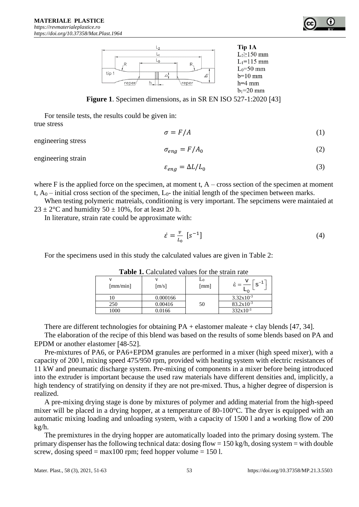

**Figure 1.** Specimen dimensions, as in SR EN ISO 527-1:2020 [43]

For tensile tests, the results could be given in: true stress

engineering stress

$$
\sigma = F/A \tag{1}
$$

engineering strain

$$
\varepsilon_{eng} = \Delta L / L_0 \tag{3}
$$

 $\sigma_{ena} = F/A_0$  (2)

where F is the applied force on the specimen, at moment t,  $A - cross$  section of the specimen at moment t,  $A_0$  – initial cross section of the specimen,  $L_0$ - the initial length of the specimen between marks.

When testing polymeric matreials, conditioning is very important. The sepcimens were maintaied at  $23 \pm 2$ °C and humidity 50  $\pm$  10%, for at least 20 h.

In literature, strain rate could be approximate with:

$$
\dot{\varepsilon} = \frac{v}{L_0} \left[ s^{-1} \right] \tag{4}
$$

For the specimens used in this study the calculated values are given in Table 2:

| $\lceil$ mm/min $\rceil$ | $\lceil m/s \rceil$ | L0<br>[mm] | $\mathsf{s}^{-1}$     |
|--------------------------|---------------------|------------|-----------------------|
| 10                       | 0.000166            |            | $3.32 \times 10^{-3}$ |
| 250                      | 0.00416             | 50         | $83.2 \times 10^{-3}$ |
| 1000                     | 0.0166              |            | $332x10^{-3}$         |

**Table 1.** Calculated values for the strain rate

There are different technologies for obtaining  $PA +$  elastomer maleate  $+$  clay blends [47, 34].

The elaboration of the recipe of this blend was based on the results of some blends based on PA and EPDM or another elastomer [48-52].

Pre-mixtures of PA6, or PA6+EPDM granules are performed in a mixer (high speed mixer), with a capacity of 200 l, mixing speed 475/950 rpm, provided with heating system with electric resistances of 11 kW and pneumatic discharge system. Pre-mixing of components in a mixer before being introduced into the extruder is important because the used raw materials have different densities and, implicitly, a high tendency of stratifying on density if they are not pre-mixed. Thus, a higher degree of dispersion is realized.

A pre-mixing drying stage is done by mixtures of polymer and adding material from the high-speed mixer will be placed in a drying hopper, at a temperature of 80-100°C. The dryer is equipped with an automatic mixing loading and unloading system, with a capacity of 1500 l and a working flow of 200 kg/h.

The premixtures in the drying hopper are automatically loaded into the primary dosing system. The primary dispenser has the following technical data: dosing flow  $= 150$  kg/h, dosing system  $=$  with double screw, dosing speed = max100 rpm; feed hopper volume = 150 l.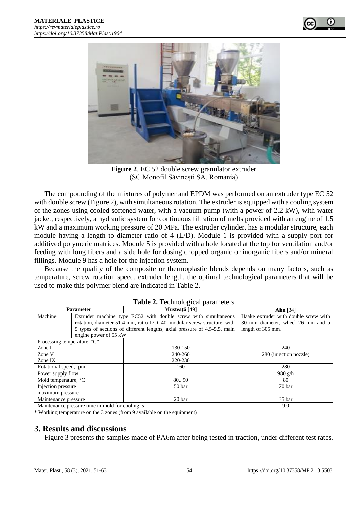



**Figure 2**. EC 52 double screw granulator extruder (SC Monofil Săvinești SA, Romania)

The compounding of the mixtures of polymer and EPDM was performed on an extruder type EC 52 with double screw (Figure 2), with simultaneous rotation. The extruder is equipped with a cooling system of the zones using cooled softened water, with a vacuum pump (with a power of 2.2 kW), with water jacket, respectively, a hydraulic system for continuous filtration of melts provided with an engine of 1.5 kW and a maximum working pressure of 20 MPa. The extruder cylinder, has a modular structure, each module having a length to diameter ratio of 4 (L/D). Module 1 is provided with a supply port for additived polymeric matrices. Module 5 is provided with a hole located at the top for ventilation and/or feeding with long fibers and a side hole for dosing chopped organic or inorganic fibers and/or mineral fillings. Module 9 has a hole for the injection system.

Because the quality of the composite or thermoplastic blends depends on many factors, such as temperature, screw rotation speed, extruder length, the optimal technological parameters that will be used to make this polymer blend are indicated in Table 2.

| <b>Table 2.</b> Technological parameters                                   |                                                                |                                                                           |                                       |  |  |  |
|----------------------------------------------------------------------------|----------------------------------------------------------------|---------------------------------------------------------------------------|---------------------------------------|--|--|--|
| <b>Parameter</b>                                                           |                                                                | Musteată [49]                                                             | Ahn $[34]$                            |  |  |  |
| Machine                                                                    | Extruder machine type EC52 with double screw with simultaneous |                                                                           | Haake extruder with double screw with |  |  |  |
| rotation, diameter 51.4 mm, ratio $L/D=40$ , modular screw structure, with |                                                                | 30 mm diameter, wheel 26 mm and a                                         |                                       |  |  |  |
|                                                                            |                                                                | 5 types of sections of different lengths, axial pressure of 4.5-5.5, main | length of 305 mm.                     |  |  |  |
|                                                                            | engine power of 55 kW                                          |                                                                           |                                       |  |  |  |
| Processing temperature, ${}^{\circ}C^*$                                    |                                                                |                                                                           |                                       |  |  |  |
| Zone I                                                                     |                                                                | 130-150                                                                   | 240                                   |  |  |  |
| Zone V                                                                     |                                                                | 240-260                                                                   | 280 (injection nozzle)                |  |  |  |
| Zone IX                                                                    |                                                                | 220-230                                                                   |                                       |  |  |  |
| Rotational speed, rpm                                                      |                                                                | 160                                                                       | 280                                   |  |  |  |
| Power supply flow                                                          |                                                                |                                                                           | 980 g/h                               |  |  |  |
| Mold temperature, $\mathrm{C}$                                             |                                                                | 8090                                                                      | 80                                    |  |  |  |
| Injection pressure                                                         |                                                                | 50 bar                                                                    | 70 bar                                |  |  |  |
| maximum pressure                                                           |                                                                |                                                                           |                                       |  |  |  |
| Maintenance pressure                                                       |                                                                | 20 bar                                                                    | 35 <sub>bar</sub>                     |  |  |  |
| Maintenance pressure time in mold for cooling, s                           |                                                                | 9.0                                                                       |                                       |  |  |  |

**Table 2.** Technological parameters

**\*** Working temperature on the 3 zones (from 9 available on the equipment)

## **3. Results and discussions**

Figure 3 presents the samples made of PA6m after being tested in traction, under different test rates.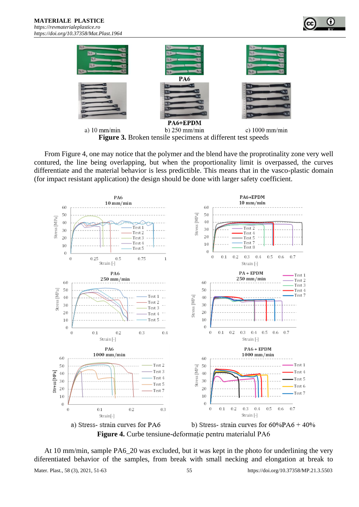



From Figure 4, one may notice that the polymer and the blend have the proprotinality zone very well contured, the line being overlapping, but when the proportionality limit is overpassed, the curves differentiate and the material behavior is less predictible. This means that in the vasco-plastic domain (for impact resistant application) the design should be done with larger safety coefficient.





At 10 mm/min, sample PA6\_20 was excluded, but it was kept in the photo for underlining the very diferentiated behavior of the samples, from break with small necking and elongation at break to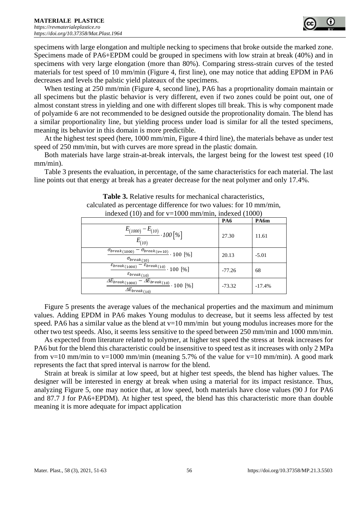

specimens with large elongation and multiple necking to specimens that broke outside the marked zone. Specimens made of PA6+EPDM could be grouped in specimens with low strain at break (40%) and in specimens with very large elongation (more than 80%). Comparing stress-strain curves of the tested materials for test speed of 10 mm/min (Figure 4, first line), one may notice that adding EPDM in PA6 decreases and levels the palstic yield plateaux of the specimens.

When testing at 250 mm/min (Figure 4, second line), PA6 has a proprtionality domain maintain or all specimens but the plastic behavior is very different, even if two zones could be point out, one of almost constant stress in yielding and one with different slopes till break. This is why component made of polyamide 6 are not recommended to be designed outside the proprotionality domain. The blend has a similar proportionality line, but yielding process under load is similar for all the tested specimens, meaning its behavior in this domain is more predictible.

At the highest test speed (here, 1000 mm/min, Figure 4 third line), the materials behave as under test speed of 250 mm/min, but with curves are more spread in the plastic domain.

Both materials have large strain-at-break intervals, the largest being for the lowest test speed (10 mm/min).

Table 3 presents the evaluation, in percentage, of the same characteristics for each material. The last line points out that energy at break has a greater decrease for the neat polymer and only 17.4%.

|                                                                                                                                     | PA6      | PA6m     |
|-------------------------------------------------------------------------------------------------------------------------------------|----------|----------|
| $\frac{E_{(1000)} - E_{(10)}}{100} \cdot 100$ [%]<br>$E_{(10)}$                                                                     | 27.30    | 11.61    |
| $\overline{\sigma_{break(1000)}} - \overline{\sigma_{break(v=10)}} \cdot 100$ [%]<br>$\sigma_{break(10)}$                           | 20.13    | $-5.01$  |
| $\overline{\varepsilon_{break(1000)}-\varepsilon_{break(10)}}\cdot 100~[\%]$<br>$\varepsilon_{break(10)}$                           | $-77.26$ | 68       |
| $\overline{\mathit{AE}_{break(1000)}} - \overline{\mathit{AE}_{break(10)}} \cdot 100 \; [\%]$<br>$\Delta E_{break(\underline{10})}$ | $-73.32$ | $-17.4%$ |

**Table 3.** Relative results for mechanical characteristics, calculated as percentage difference for two values: for 10 mm/min, indexed (10) and for v=1000 mm/min, indexed (1000)

Figure 5 presents the average values of the mechanical properties and the maximum and minimum values. Adding EPDM in PA6 makes Young modulus to decrease, but it seems less affected by test speed. PA6 has a similar value as the blend at  $v=10$  mm/min but young modulus increases more for the other two test speeds. Also, it seems less sensitive to the speed between 250 mm/min and 1000 mm/min.

As expected from literature related to polymer, at higher test speed the stress at break increases for PA6 but for the blend this characteristic could be insensitive to speed test as it increases with only 2 MPa from v=10 mm/min to v=1000 mm/min (meaning 5.7% of the value for v=10 mm/min). A good mark represents the fact that spred interval is narrow for the blend.

Strain at break is similar at low speed, but at higher test speeds, the blend has higher values. The designer will be interested in energy at break when using a material for its impact resistance. Thus, analyzing Figure 5, one may notice that, at low speed, both materials have close values (90 J for PA6 and 87.7 J for PA6+EPDM). At higher test speed, the blend has this characteristic more than double meaning it is more adequate for impact application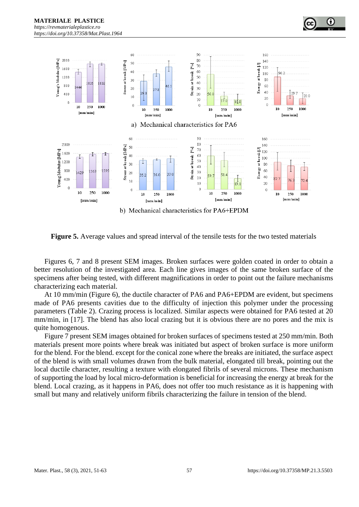

**Figure 5.** Average values and spread interval of the tensile tests for the two tested materials

Figures 6, 7 and 8 present SEM images. Broken surfaces were golden coated in order to obtain a better resolution of the investigated area. Each line gives images of the same broken surface of the specimens after being tested, with different magnifications in order to point out the failure mechanisms characterizing each material.

At 10 mm/min (Figure 6), the ductile character of PA6 and PA6+EPDM are evident, but specimens made of PA6 presents cavities due to the difficulty of injection this polymer under the processing parameters (Table 2). Crazing process is localized. Similar aspects were obtained for PA6 tested at 20 mm/min, in [17]. The blend has also local crazing but it is obvious there are no pores and the mix is quite homogenous.

Figure 7 present SEM images obtained for broken surfaces of specimens tested at 250 mm/min. Both materials present more points where break was initiated but aspect of broken surface is more uniform for the blend. For the blend. except for the conical zone where the breaks are initiated, the surface aspect of the blend is with small volumes drawn from the bulk material, elongated till break, pointing out the local ductile character, resulting a texture with elongated fibrils of several microns. These mechanism of supporting the load by local micro-deformation is beneficial for increasing the energy at break for the blend. Local crazing, as it happens in PA6, does not offer too much resistance as it is happening with small but many and relatively uniform fibrils characterizing the failure in tension of the blend.

O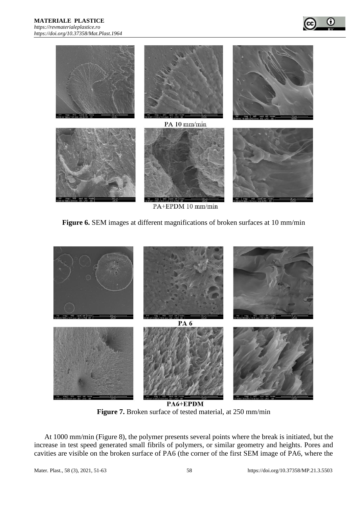

PA+EPDM 10 mm/min

**Figure 6.** SEM images at different magnifications of broken surfaces at 10 mm/min



PA6+EPDM **Figure 7.** Broken surface of tested material, at 250 mm/min

At 1000 mm/min (Figure 8), the polymer presents several points where the break is initiated, but the increase in test speed generated small fibrils of polymers, or similar geometry and heights. Pores and cavities are visible on the broken surface of PA6 (the corner of the first SEM image of PA6, where the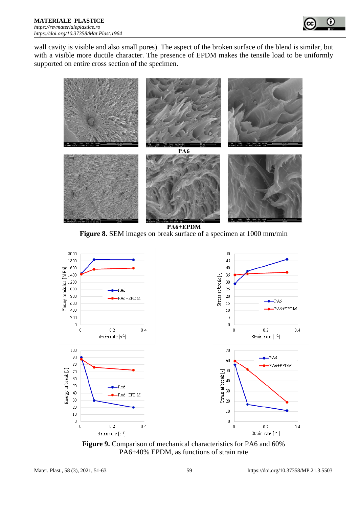

wall cavity is visible and also small pores). The aspect of the broken surface of the blend is similar, but with a visible more ductile character. The presence of EPDM makes the tensile load to be uniformly supported on entire cross section of the specimen.



PA6+EPDM **Figure 8.** SEM images on break surface of a specimen at 1000 mm/min



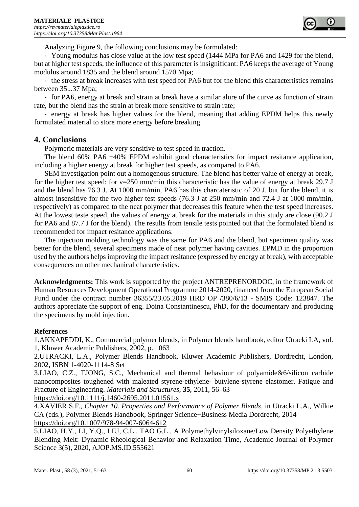

Analyzing Figure 9, the following conclusions may be formulated:

- Young modulus has close value at the low test speed (1444 MPa for PA6 and 1429 for the blend, but at higher test speeds, the influence of this parameter is insignificant: PA6 keeps the average of Young modulus around 1835 and the blend around 1570 Mpa;

- the stress at break increases with test speed for PA6 but for the blend this charactertistics remains between 35...37 Mpa;

- for PA6, energy at break and strain at break have a similar alure of the curve as function of strain rate, but the blend has the strain at break more sensitive to strain rate;

- energy at break has higher values for the blend, meaning that adding EPDM helps this newly formulated material to store more energy before breaking.

## **4. Conclusions**

Polymeric materials are very sensitive to test speed in traction.

The blend 60% PA6 +40% EPDM exhibit good characteristics for impact resitance application, including a higher energy at break for higher test speeds, as compared to PA6.

SEM investigation point out a homogenous structure. The blend has better value of energy at break, for the higher test speed: for  $v=250$  mm/min this characteristic has the value of energy at break 29.7 J and the blend has 76.3 J. At 1000 mm/min, PA6 has this charcateristic of 20 J, but for the blend, it is almost insensitive for the two higher test speeds (76.3 J at 250 mm/min and 72.4 J at 1000 mm/min, respectively) as compared to the neat polymer that decreases this feature when the test speed increases. At the lowest teste speed, the values of energy at break for the materials in this study are close (90.2 J for PA6 and 87.7 J for the blend). The results from tensile tests pointed out that the formulated blend is recommended for impact resitance applications.

The injection molding technology was the same for PA6 and the blend, but specimen quality was better for the blend, several specimens made of neat polymer having cavities. EPMD in the proportion used by the authors helps improving the impact resitance (expressed by energy at break), with acceptable consequences on other mechanical characteristics.

**Acknowledgments:** This work is supported by the project ANTREPRENORDOC, in the framework of Human Resources Development Operational Programme 2014-2020, financed from the European Social Fund under the contract number 36355/23.05.2019 HRD OP /380/6/13 - SMIS Code: 123847. The authors appreciate the support of eng. Doina Constantinescu, PhD, for the documentary and producing the specimens by mold injection.

## **References**

1.AKKAPEDDI, K., Commercial polymer blends, in Polymer blends handbook, editor Utracki LA, vol. 1, Kluwer Academic Publishers, 2002, p. 1063

2.UTRACKI, L.A., Polymer Blends Handbook, Kluwer Academic Publishers, Dordrecht, London, 2002, ISBN 1-4020-1114-8 Set

3.LIAO, C.Z., TJONG, S.C., Mechanical and thermal behaviour of polyamide&6/silicon carbide nanocomposites toughened with maleated styrene-ethylene- butylene-styrene elastomer. Fatigue and Fracture of Engineering. *Materials and Structures*, **35**, 2011, 56–63

<https://doi.org/10.1111/j.1460-2695.2011.01561.x>

4.XAVIER S.F., *Chapter 10. Properties and Performance of Polymer Blends*, in Utracki L.A., Wilkie CA (eds.), Polymer Blends Handbook, Springer Science+Business Media Dordrecht, 2014 <https://doi.org/10.1007/978-94-007-6064-612>

5.LIAO, H.Y., LI, Y.Q., LIU, C.L., TAO G.L., A Polymethylvinylsiloxane/Low Density Polyethylene Blending Melt: Dynamic Rheological Behavior and Relaxation Time, Academic Journal of Polymer Science 3(5), 2020, AJOP.MS.ID.555621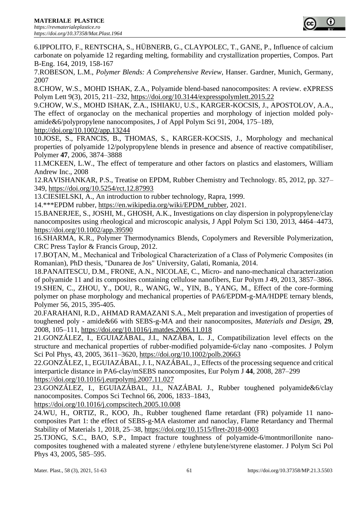6.IPPOLITO, F., RENTSCHA, S., HÜBNERB, G., CLAYPOLEC, T., GANE, P., Influence of calcium carbonate on polyamide 12 regarding melting, formability and crystallization properties, Compos. Part B-Eng. 164, 2019, 158-167

7.ROBESON, L.M., *Polymer Blends: A Comprehensive Review*, Hanser. Gardner, Munich, Germany, 2007

8.CHOW, W.S., MOHD ISHAK, Z.A., Polyamide blend-based nanocomposites: A review. eXPRESS Polym Lett 9(3), 2015, 211–232,<https://doi.org/10.3144/expresspolymlett.2015.22>

9.CHOW, W.S., MOHD ISHAK, Z.A., ISHIAKU, U.S., KARGER-KOCSIS, J., APOSTOLOV, A.A., The effect of organoclay on the mechanical properties and morphology of injection molded polyamide&6/polypropylene nanocomposites, J of Appl Polym Sci 91, 2004, 175–189,

<http://doi.org/10.1002/app.13244>

10.JOSE, S., FRANCIS, B., THOMAS, S., KARGER-KOCSIS, J., Morphology and mechanical properties of polyamide 12/polypropylene blends in presence and absence of reactive compatibiliser, Polymer **47**, 2006, 3874–3888

11.MCKEEN, L.W., The effect of temperature and other factors on plastics and elastomers, William Andrew Inc., 2008

12.RAVISHANKAR, P.S., Treatise on EPDM, Rubber Chemistry and Technology. 85, 2012, pp. 327– 349,<https://doi.org/10.5254/rct.12.87993>

13.CIESIELSKI, A., An introduction to rubber technology, Rapra, 1999.

14.\*\*\*EPDM rubber, [https://en.wikipedia.org/wiki/EPDM\\_rubber,](https://en.wikipedia.org/wiki/EPDM_rubber) 2021.

15.BANERJEE, S., JOSHI, M., GHOSH, A.K., Investigations on clay dispersion in polypropylene/clay nanocomposites using rheological and microscopic analysis, J Appl Polym Sci 130, 2013, 4464–4473, <https://doi.org/10.1002/app.39590>

16.SHARMA, K.R., Polymer Thermodynamics Blends, Copolymers and Reversible Polymerization, CRC Press Taylor & Francis Group, 2012.

17.BOȚAN, M., Mechanical and Tribological Characterization of a Class of Polymeric Composites (in Romanian), PhD thesis, "Dunarea de Jos" University, Galati, Romania, 2014.

18.PANAITESCU, D.M., FRONE, A.N., NICOLAE, C., Micro- and nano-mechanical characterization of polyamide 11 and its composites containing cellulose nanofibers, Eur Polym J 49, 2013, 3857–3866. 19.SHEN, C., ZHOU, Y., DOU, R., WANG, W., YIN, B., YANG, M., Effect of the core-forming polymer on phase morphology and mechanical properties of PA6/EPDM-g-MA/HDPE ternary blends, Polymer 56, 2015, 395-405.

20.FARAHANI, R.D., AHMAD RAMAZANI S.A., Melt preparation and investigation of properties of toughened poly - amide&66 with SEBS-g-MA and their nanocomposites, *Materials and Design,* **29**, 2008, 105–111,<https://doi.org/10.1016/j.matdes.2006.11.018>

21.GONZÁLEZ, I., EGUIAZÁBAL, J.I., NAZÁBA, L. J., Compatibilization level effects on the structure and mechanical properties of rubber-modified polyamide-6/clay nano -composites. J Polym Sci Pol Phys, 43, 2005, 3611–3620,<https://doi.org/10.1002/polb.20663>

22.GONZÁLEZ, I., EGUIAZÁBAL, J. I., NAZÁBAL, J., Effects of the processing sequence and critical interparticle distance in PA6-clay/mSEBS nanocomposites, Eur Polym J **44**, 2008, 287–299 <https://doi.org/10.1016/j.eurpolymj.2007.11.027>

23.GONZÁLEZ, I., EGUIAZÁBAL, J.I., NAZÁBAL J., Rubber toughened polyamide&6/clay nanocomposites. Compos Sci Technol 66, 2006, 1833–1843,

<https://doi.org/10.1016/j.compscitech.2005.10.008>

24.WU, H., ORTIZ, R., KOO, Jh., Rubber toughened flame retardant (FR) polyamide 11 nanocomposites Part 1: the effect of SEBS-g-MA elastomer and nanoclay, Flame Retardancy and Thermal Stability of Materials 1, 2018, 25–38,<https://doi.org/10.1515/flret-2018-0003>

25.TJONG, S.C., BAO, S.P., Impact fracture toughness of polyamide-6/montmorillonite nanocomposites toughened with a maleated styrene / ethylene butylene/styrene elastomer. J Polym Sci Pol Phys 43, 2005, 585–595.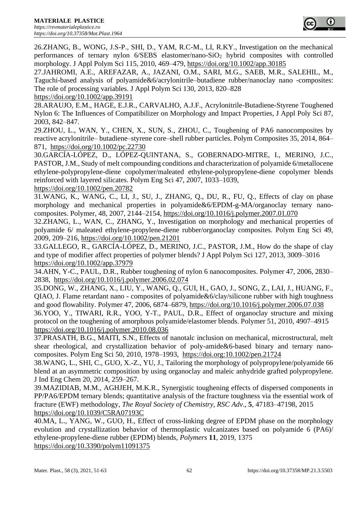26.ZHANG, B., WONG, J.S-P., SHI, D., YAM, R.C-M., LI, R.KY., Investigation on the mechanical performances of ternary nylon 6/SEBS elastomer/nano-SiO<sup>2</sup> hybrid composites with controlled morphology. J Appl Polym Sci 115, 2010, 469–479,<https://doi.org/10.1002/app.30185>

27.JAHROMI, A.E., AREFAZAR, A., JAZANI, O.M., SARI, M.G., SAEB, M.R., SALEHIL, M., Taguchi-based analysis of polyamide&6/acrylonitrile–butadiene rubber/nanoclay nano -composites: The role of processing variables. J Appl Polym Sci 130, 2013, 820–828 <https://doi.org/10.1002/app.39191>

28.ARAUJO, E.M., HAGE, E.J.R., CARVALHO, A.J.F., Acrylonitrile-Butadiene-Styrene Toughened Nylon 6: The Influences of Compatibilizer on Morphology and Impact Properties, J Appl Poly Sci 87, 2003, 842–847.

29.ZHOU, L., WAN, Y., CHEN, X., SUN, S., ZHOU, C., Toughening of PA6 nanocomposites by reactive acrylonitrile– butadiene–styrene core–shell rubber particles. Polym Composites 35, 2014, 864– 871, <https://doi.org/10.1002/pc.22730>

30.GARCÍA-LÓPEZ, D., LÓPEZ-QUINTANA, S., GOBERNADO-MITRE, I., MERINO, J.C., PASTOR, J.M., Study of melt compounding conditions and characterization of polyamide 6/metallocene ethylene-polypropylene-diene copolymer/maleated ethylene-polypropylene-diene copolymer blends reinforced with layered silicates. Polym Eng Sci 47, 2007, 1033–1039, <https://doi.org/10.1002/pen.20782>

31.WANG, K., WANG, C., LI, J., SU, J., ZHANG, Q., DU, R., FU, Q., Effects of clay on phase morphology and mechanical properties in polyamide&6/EPDM-g-MA/organoclay ternary nanocomposites. Polymer, 48, 2007, 2144–2154,<https://doi.org/10.1016/j.polymer.2007.01.070>

32.ZHANG, L., WAN, C., ZHANG, Y., Investigation on morphology and mechanical properties of polyamide 6/ maleated ethylene-propylene-diene rubber/organoclay composites. Polym Eng Sci 49, 2009, 209–216,<https://doi.org/10.1002/pen.21201>

33.GALLEGO, R., GARCÍA-LÓPEZ, D., MERINO, J.C., PASTOR, J.M., How do the shape of clay and type of modifier affect properties of polymer blends? J Appl Polym Sci 127, 2013, 3009–3016 <https://doi.org/10.1002/app.37979>

34.AHN, Y-C., PAUL, D.R., Rubber toughening of nylon 6 nanocomposites. Polymer 47, 2006, 2830– 2838, <https://doi.org/10.1016/j.polymer.2006.02.074>

35.DONG, W., ZHANG, X., LIU, Y., WANG, Q., GUI, H., GAO, J., SONG, Z., LAI, J., HUANG, F.,  $OIAO$ , J. Flame retardant nano - composites of polyamide  $&6$ /clay/silicone rubber with high toughness and good flowability. Polymer 47, 2006, 6874–6879,<https://doi.org/10.1016/j.polymer.2006.07.038>

36.YOO, Y., TIWARI, R.R., YOO, Y-T., PAUL, D.R., Effect of organoclay structure and mixing protocol on the toughening of amorphous polyamide/elastomer blends. Polymer 51, 2010, 4907–4915 <https://doi.org/10.1016/j.polymer.2010.08.036>

37.PRASATH, B.G., MAITI, S.N., Effects of nanotalc inclusion on mechanical, microstructural, melt shear rheological, and crystallization behavior of poly-amide&6-based binary and ternary nanocomposites. Polym Eng Sci 50, 2010, 1978–1993, <https://doi.org:10.1002/pen.21724>

38.WANG, L., SHI, C., GUO, X.-Z., YU, J., Tailoring the morphology of polypropylene/polyamide 66 blend at an asymmetric composition by using organoclay and maleic anhydride grafted polypropylene. J Ind Eng Chem 20, 2014, 259–267.

39.MAZIDIAB, M.M., AGHJEH, M.K.R., Synergistic toughening effects of dispersed components in PP/PA6/EPDM ternary blends; quantitative analysis of the fracture toughness via the essential work of fracture (EWF) methodology, *The Royal Society of Chemistry, RSC Adv*., **5**, 47183–47198, 2015 <https://doi.org/10.1039/C5RA07193C>

40.MA, L., YANG, W., GUO, H., Effect of cross-linking degree of EPDM phase on the morphology evolution and crystallization behavior of thermoplastic vulcanizates based on polyamide 6 (PA6)/ ethylene-propylene-diene rubber (EPDM) blends, *Polymers* **11**, 2019, 1375 <https://doi.org/10.3390/polym11091375>